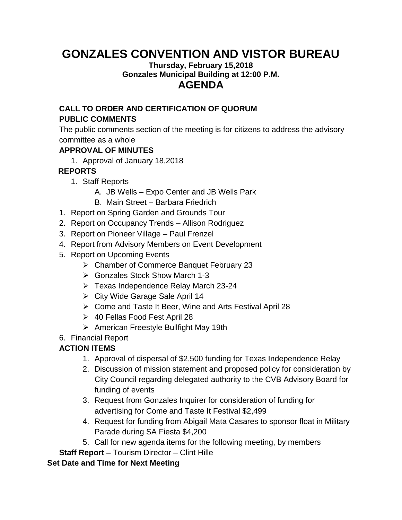# **GONZALES CONVENTION AND VISTOR BUREAU**

#### **Thursday, February 15,2018 Gonzales Municipal Building at 12:00 P.M. AGENDA**

## **CALL TO ORDER AND CERTIFICATION OF QUORUM PUBLIC COMMENTS**

The public comments section of the meeting is for citizens to address the advisory committee as a whole

#### **APPROVAL OF MINUTES**

1. Approval of January 18,2018

## **REPORTS**

- 1. Staff Reports
	- A. JB Wells Expo Center and JB Wells Park
	- B. Main Street Barbara Friedrich
- 1. Report on Spring Garden and Grounds Tour
- 2. Report on Occupancy Trends Allison Rodriguez
- 3. Report on Pioneer Village Paul Frenzel
- 4. Report from Advisory Members on Event Development
- 5. Report on Upcoming Events
	- Chamber of Commerce Banquet February 23
	- Gonzales Stock Show March 1-3
	- $\triangleright$  Texas Independence Relay March 23-24
	- City Wide Garage Sale April 14
	- Come and Taste It Beer, Wine and Arts Festival April 28
	- 40 Fellas Food Fest April 28
	- $\triangleright$  American Freestyle Bullfight May 19th
- 6. Financial Report

# **ACTION ITEMS**

- 1. Approval of dispersal of \$2,500 funding for Texas Independence Relay
- 2. Discussion of mission statement and proposed policy for consideration by City Council regarding delegated authority to the CVB Advisory Board for funding of events
- 3. Request from Gonzales Inquirer for consideration of funding for advertising for Come and Taste It Festival \$2,499
- 4. Request for funding from Abigail Mata Casares to sponsor float in Military Parade during SA Fiesta \$4,200
- 5. Call for new agenda items for the following meeting, by members
- **Staff Report –** Tourism Director Clint Hille

## **Set Date and Time for Next Meeting**